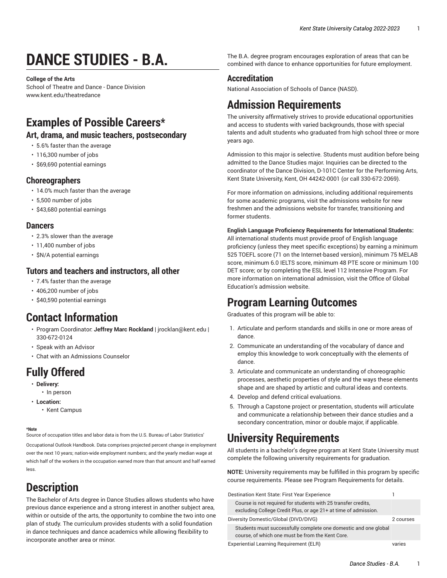# **DANCE STUDIES - B.A.**

**College of the Arts**

School of Theatre and Dance - Dance Division [www.kent.edu/theatredance](http://www.kent.edu/theatredance/)

### **Examples of Possible Careers\***

#### **Art, drama, and music teachers, postsecondary**

- 5.6% faster than the average
- 116,300 number of jobs
- \$69,690 potential earnings

#### **Choreographers**

- 14.0% much faster than the average
- 5,500 number of jobs
- \$43,680 potential earnings

#### **Dancers**

- 2.3% slower than the average
- 11,400 number of jobs
- \$N/A potential earnings

#### **Tutors and teachers and instructors, all other**

- 7.4% faster than the average
- 406,200 number of jobs
- \$40,590 potential earnings

### **Contact Information**

- Program Coordinator: **Jeffrey Marc Rockland** | [jrocklan@kent.edu](mailto:jrocklan@kent.edu) | 330-672-0124
- [Speak with an Advisor](https://www.kent.edu/artscollege/students/advising/)
- [Chat with an Admissions Counselor](https://www.kent.edu/admissions/undergraduate/schedule-visit/)

### **Fully Offered**

- **Delivery:**
	- In person
- **Location:**
	- Kent Campus

#### **\*Note**

Source of occupation titles and labor data is from the U.S. Bureau of Labor Statistics'

[Occupational Outlook Handbook](https://data.bls.gov/projections/occupationProj/). Data comprises projected percent change in employment over the next 10 years; nation-wide employment numbers; and the yearly median wage at which half of the workers in the occupation earned more than that amount and half earned less.

## **Description**

The Bachelor of Arts degree in Dance Studies allows students who have previous dance experience and a strong interest in another subject area, within or outside of the arts, the opportunity to combine the two into one plan of study. The curriculum provides students with a solid foundation in dance techniques and dance academics while allowing flexibility to incorporate another area or minor.

The B.A. degree program encourages exploration of areas that can be combined with dance to enhance opportunities for future employment.

#### **Accreditation**

National Association of Schools of Dance (NASD).

### **Admission Requirements**

The university affirmatively strives to provide educational opportunities and access to students with varied backgrounds, those with special talents and adult students who graduated from high school three or more years ago.

Admission to this major is selective. Students must audition before being admitted to the Dance Studies major. Inquiries can be directed to the coordinator of the Dance Division, D-101C Center for the Performing Arts, Kent State University, Kent, OH 44242-0001 (or call 330-672-2069).

For more information on admissions, including additional requirements for some academic programs, visit the [admissions website for new](http://www.kent.edu/admissions/undergraduate/new-freshmen/) [freshmen](http://www.kent.edu/admissions/undergraduate/new-freshmen/) and the admissions website for transfer, [transitioning](https://www.kent.edu/transfer/) and [former students](https://www.kent.edu/transfer/).

#### **English Language Proficiency Requirements for International Students:**

All international students must provide proof of English language proficiency (unless they meet specific exceptions) by earning a minimum 525 TOEFL score (71 on the Internet-based version), minimum 75 MELAB score, minimum 6.0 IELTS score, minimum 48 PTE score or minimum 100 DET score; or by completing the ESL level 112 Intensive Program. For more information on international admission, visit the [Office of Global](http://www.kent.edu/globaleducation/international-admissions/) [Education's](http://www.kent.edu/globaleducation/international-admissions/) admission website.

### **Program Learning Outcomes**

Graduates of this program will be able to:

- 1. Articulate and perform standards and skills in one or more areas of dance.
- 2. Communicate an understanding of the vocabulary of dance and employ this knowledge to work conceptually with the elements of dance.
- 3. Articulate and communicate an understanding of choreographic processes, aesthetic properties of style and the ways these elements shape and are shaped by artistic and cultural ideas and contexts.
- 4. Develop and defend critical evaluations.
- 5. Through a Capstone project or presentation, students will articulate and communicate a relationship between their dance studies and a secondary concentration, minor or double major, if applicable.

### **University Requirements**

All students in a bachelor's degree program at Kent State University must complete the following university requirements for graduation.

**NOTE:** University requirements may be fulfilled in this program by specific course requirements. Please see Program Requirements for details.

| Destination Kent State: First Year Experience                                                                                    |           |
|----------------------------------------------------------------------------------------------------------------------------------|-----------|
| Course is not required for students with 25 transfer credits.<br>excluding College Credit Plus, or age 21+ at time of admission. |           |
| Diversity Domestic/Global (DIVD/DIVG)                                                                                            | 2 courses |
| Students must successfully complete one domestic and one global<br>course, of which one must be from the Kent Core.              |           |
| Experiential Learning Requirement (ELR)                                                                                          | varies    |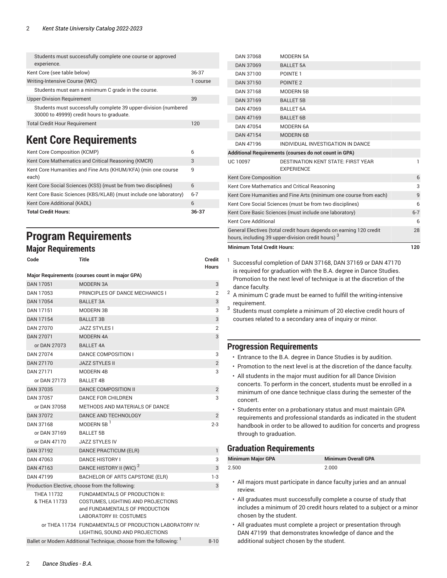| Students must successfully complete one course or approved<br>experience.                                    |          |
|--------------------------------------------------------------------------------------------------------------|----------|
| Kent Core (see table below)                                                                                  | 36-37    |
| Writing-Intensive Course (WIC)                                                                               | 1 course |
| Students must earn a minimum C grade in the course.                                                          |          |
| <b>Upper-Division Requirement</b>                                                                            | 39       |
| Students must successfully complete 39 upper-division (numbered<br>30000 to 49999) credit hours to graduate. |          |
| <b>Total Credit Hour Requirement</b>                                                                         | 120      |

### <span id="page-1-0"></span>**Kent Core Requirements**

| Kent Core Composition (KCMP)                                           |         |
|------------------------------------------------------------------------|---------|
| Kent Core Mathematics and Critical Reasoning (KMCR)                    | 3       |
| Kent Core Humanities and Fine Arts (KHUM/KFA) (min one course<br>each) | 9       |
| Kent Core Social Sciences (KSS) (must be from two disciplines)         | 6       |
| Kent Core Basic Sciences (KBS/KLAB) (must include one laboratory)      | $6 - 7$ |
| Kent Core Additional (KADL)                                            | 6       |
| <b>Total Credit Hours:</b>                                             | 36-37   |

### **Program Requirements**

#### **Major Requirements**

| Code              | Title                                                             | <b>Credit</b><br><b>Hours</b> |
|-------------------|-------------------------------------------------------------------|-------------------------------|
|                   | Major Requirements (courses count in major GPA)                   |                               |
| DAN 17051         | MODERN 3A                                                         | 3                             |
| DAN 17053         | PRINCIPLES OF DANCE MECHANICS I                                   | $\overline{2}$                |
| DAN 17054         | <b>BALLET 3A</b>                                                  | 3                             |
| DAN 17151         | MODERN 3B                                                         | 3                             |
| DAN 17154         | <b>BALLET 3B</b>                                                  | 3                             |
| DAN 27070         | <b>JAZZ STYLES I</b>                                              | $\overline{2}$                |
| DAN 27071         | MODERN 4A                                                         | 3                             |
| or DAN 27073      | <b>BALLET 4A</b>                                                  |                               |
| DAN 27074         | DANCE COMPOSITION I                                               | 3                             |
| <b>DAN 27170</b>  | <b>JAZZ STYLES II</b>                                             | $\overline{2}$                |
| DAN 27171         | MODERN 4B                                                         | 3                             |
| or DAN 27173      | <b>BALLET 4B</b>                                                  |                               |
| DAN 37035         | <b>DANCE COMPOSITION II</b>                                       | $\overline{2}$                |
| DAN 37057         | <b>DANCE FOR CHILDREN</b>                                         | 3                             |
| or DAN 37058      | METHODS AND MATERIALS OF DANCE                                    |                               |
| <b>DAN 37072</b>  | DANCE AND TECHNOLOGY                                              | $\overline{2}$                |
| DAN 37168         | MODERN 5B $1$                                                     | $2 - 3$                       |
| or DAN 37169      | <b>BALLET 5B</b>                                                  |                               |
| or DAN 47170      | <b>JAZZ STYLES IV</b>                                             |                               |
| DAN 37192         | DANCE PRACTICUM (ELR)                                             | 1                             |
| DAN 47063         | <b>DANCE HISTORY I</b>                                            | 3                             |
| DAN 47163         | DANCE HISTORY II (WIC) <sup>2</sup>                               | 3                             |
| DAN 47199         | BACHELOR OF ARTS CAPSTONE (ELR)                                   | $1-3$                         |
|                   | Production Elective, choose from the following:                   | 3                             |
| <b>THEA 11732</b> | FUNDAMENTALS OF PRODUCTION II:                                    |                               |
| & THEA 11733      | COSTUMES, LIGHTING AND PROJECTIONS                                |                               |
|                   | and FUNDAMENTALS OF PRODUCTION<br><b>LABORATORY III: COSTUMES</b> |                               |
|                   | or THEA 11734 FUNDAMENTALS OF PRODUCTION LABORATORY IV:           |                               |
|                   | LIGHTING, SOUND AND PROJECTIONS                                   |                               |
|                   | Ballet or Modern Additional Technique, choose from the following: | $8 - 10$                      |

| <b>Minimum Total Credit Hours:</b>                       |                                                                                                                                      | 120 |
|----------------------------------------------------------|--------------------------------------------------------------------------------------------------------------------------------------|-----|
|                                                          | General Electives (total credit hours depends on earning 120 credit<br>hours, including 39 upper-division credit hours) <sup>3</sup> | 28  |
| Kent Core Additional                                     |                                                                                                                                      | 6   |
| Kent Core Basic Sciences (must include one laboratory)   |                                                                                                                                      |     |
| Kent Core Social Sciences (must be from two disciplines) |                                                                                                                                      |     |
|                                                          | Kent Core Humanities and Fine Arts (minimum one course from each)                                                                    | 9   |
|                                                          | Kent Core Mathematics and Critical Reasoning                                                                                         | 3   |
| <b>Kent Core Composition</b>                             |                                                                                                                                      | 6   |
| <b>UC 10097</b>                                          | <b>DESTINATION KENT STATE: FIRST YEAR</b><br><b>EXPERIENCE</b>                                                                       | 1   |
|                                                          | Additional Requirements (courses do not count in GPA)                                                                                |     |
| DAN 47196                                                | INDIVIDUAL INVESTIGATION IN DANCE                                                                                                    |     |
| DAN 47154                                                | MODERN 6B                                                                                                                            |     |
| DAN 47054                                                | MODERN 6A                                                                                                                            |     |
| DAN 47169                                                | <b>BALLET 6B</b>                                                                                                                     |     |
| DAN 47069                                                | <b>BALLET 6A</b>                                                                                                                     |     |
| DAN 37169                                                | <b>BALLET 5B</b>                                                                                                                     |     |
| DAN 37168                                                | MODERN 5B                                                                                                                            |     |
| DAN 37100<br>DAN 37150                                   | POINTE <sub>1</sub><br>POINTE <sub>2</sub>                                                                                           |     |
| DAN 37069                                                | <b>BALLET 5A</b>                                                                                                                     |     |
| DAN 37068                                                | MODERN 5A                                                                                                                            |     |
|                                                          |                                                                                                                                      |     |

- <sup>1</sup> Successful completion of DAN 37168, DAN 37169 or DAN 47170 is required for graduation with the B.A. degree in Dance Studies. Promotion to the next level of technique is at the discretion of the dance faculty.
- 2 A minimum C grade must be earned to fulfill the writing-intensive requirement.
- 3 Students must complete a minimum of 20 elective credit hours of courses related to a secondary area of inquiry or minor.

#### **Progression Requirements**

- Entrance to the B.A. degree in Dance Studies is by audition.
- Promotion to the next level is at the discretion of the dance faculty.
- All students in the major must audition for all Dance Division concerts. To perform in the concert, students must be enrolled in a minimum of one dance technique class during the semester of the concert.
- Students enter on a probationary status and must maintain GPA requirements and professional standards as indicated in the student handbook in order to be allowed to audition for concerts and progress through to graduation.

### **Graduation Requirements**

| <b>Minimum Major GPA</b> | <b>Minimum Overall GPA</b> |
|--------------------------|----------------------------|
| 2.500                    | 2.000                      |

- All majors must participate in dance faculty juries and an annual review.
- All graduates must successfully complete a course of study that includes a minimum of 20 credit hours related to a subject or a minor chosen by the student.
- All graduates must complete a project or presentation through DAN 47199 that demonstrates knowledge of dance and the additional subject chosen by the student.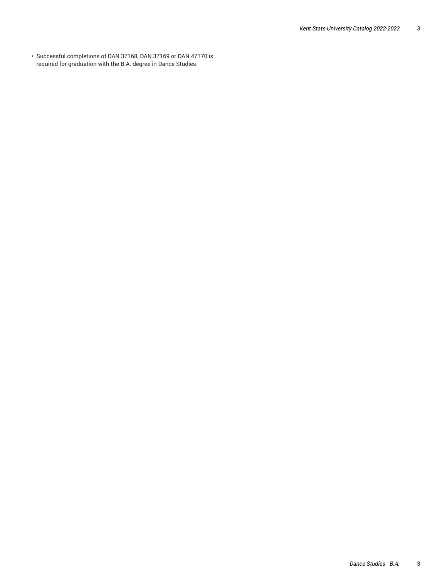• Successful completions of DAN 37168, DAN 37169 or DAN 47170 is required for graduation with the B.A. degree in Dance Studies.